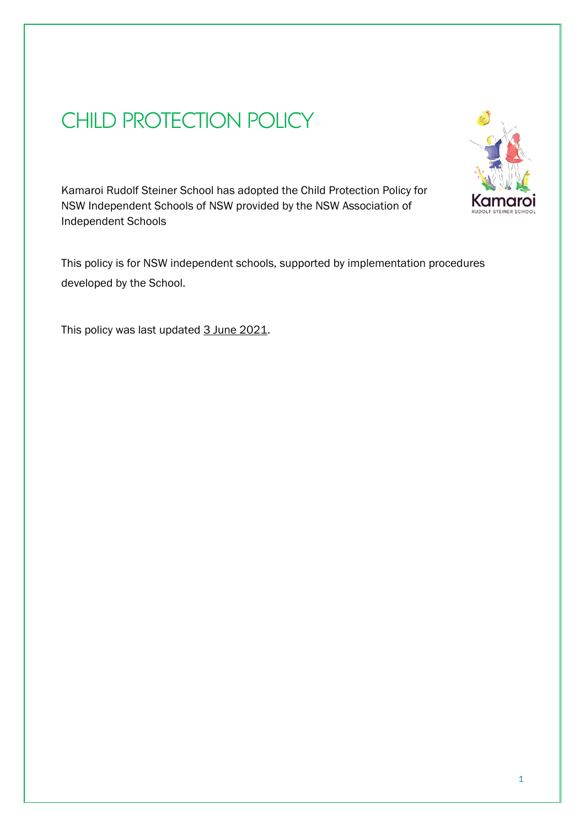# CHILD PROTECTION POLICY



Kamaroi Rudolf Steiner School has adopted the Child Protection Policy for NSW Independent Schools of NSW provided by the NSW Association of Independent Schools

This policy is for NSW independent schools, supported by implementation procedures developed by the School.

This policy was last updated 3 June 2021.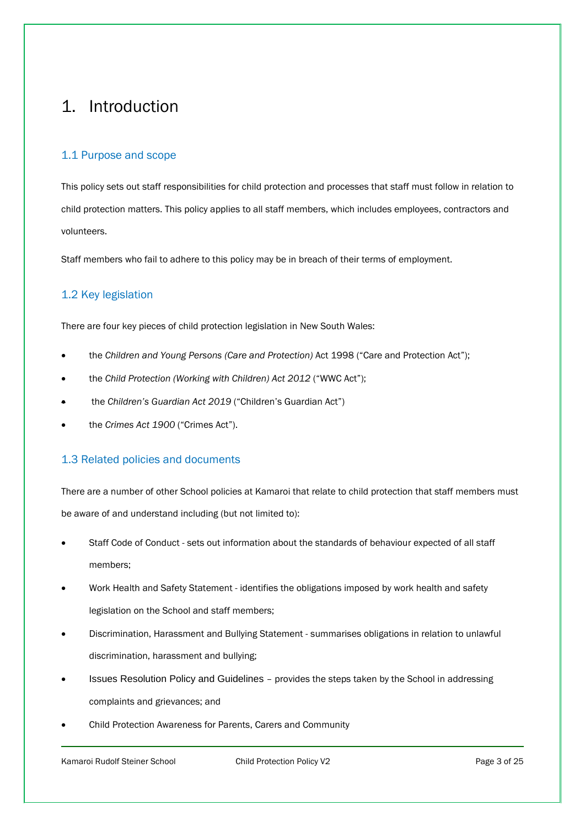# <span id="page-2-0"></span>1. Introduction

# 1.1 Purpose and scope

This policy sets out staff responsibilities for child protection and processes that staff must follow in relation to child protection matters. This policy applies to all staff members, which includes employees, contractors and volunteers.

Staff members who fail to adhere to this policy may be in breach of their terms of employment.

# 1.2 Key legislation

There are four key pieces of child protection legislation in New South Wales:

- the *Children and Young Persons (Care and Protection)* Act 1998 ("Care and Protection Act");
- the *Child Protection (Working with Children) Act 2012* ("WWC Act");
- the *Children's Guardian Act 2019* ("Children's Guardian Act")
- the *Crimes Act 1900* ("Crimes Act").

# 1.3 Related policies and documents

There are a number of other School policies at Kamaroi that relate to child protection that staff members must be aware of and understand including (but not limited to):

- Staff Code of Conduct sets out information about the standards of behaviour expected of all staff members;
- Work Health and Safety Statement identifies the obligations imposed by work health and safety legislation on the School and staff members;
- Discrimination, Harassment and Bullying Statement summarises obligations in relation to unlawful discrimination, harassment and bullying;
- Issues Resolution Policy and Guidelines provides the steps taken by the School in addressing complaints and grievances; and
- Child Protection Awareness for Parents, Carers and Community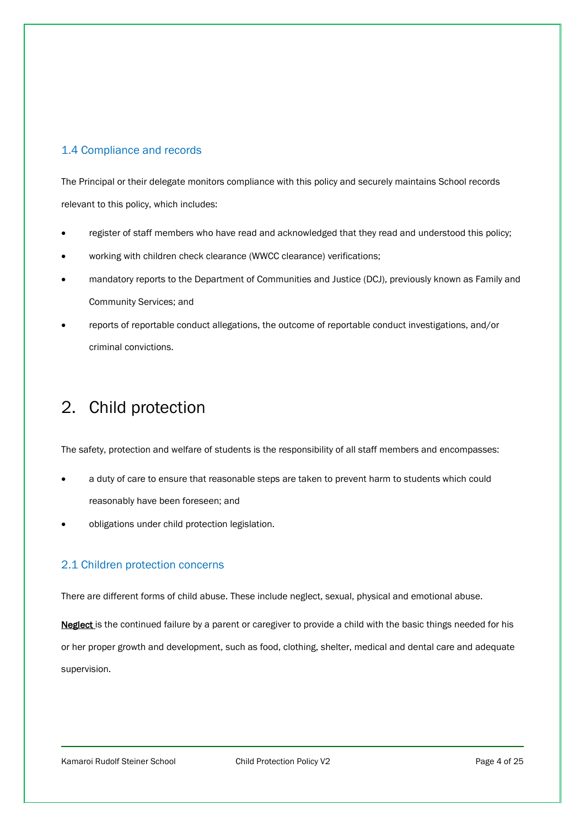# 1.4 Compliance and records

The Principal or their delegate monitors compliance with this policy and securely maintains School records relevant to this policy, which includes:

- register of staff members who have read and acknowledged that they read and understood this policy;
- working with children check clearance (WWCC clearance) verifications;
- mandatory reports to the Department of Communities and Justice (DCJ), previously known as Family and Community Services; and
- reports of reportable conduct allegations, the outcome of reportable conduct investigations, and/or criminal convictions.

# <span id="page-3-0"></span>2. Child protection

The safety, protection and welfare of students is the responsibility of all staff members and encompasses:

- a duty of care to ensure that reasonable steps are taken to prevent harm to students which could reasonably have been foreseen; and
- obligations under child protection legislation.

# 2.1 Children protection concerns

There are different forms of child abuse. These include neglect, sexual, physical and emotional abuse.

Neglect is the continued failure by a parent or caregiver to provide a child with the basic things needed for his or her proper growth and development, such as food, clothing, shelter, medical and dental care and adequate supervision.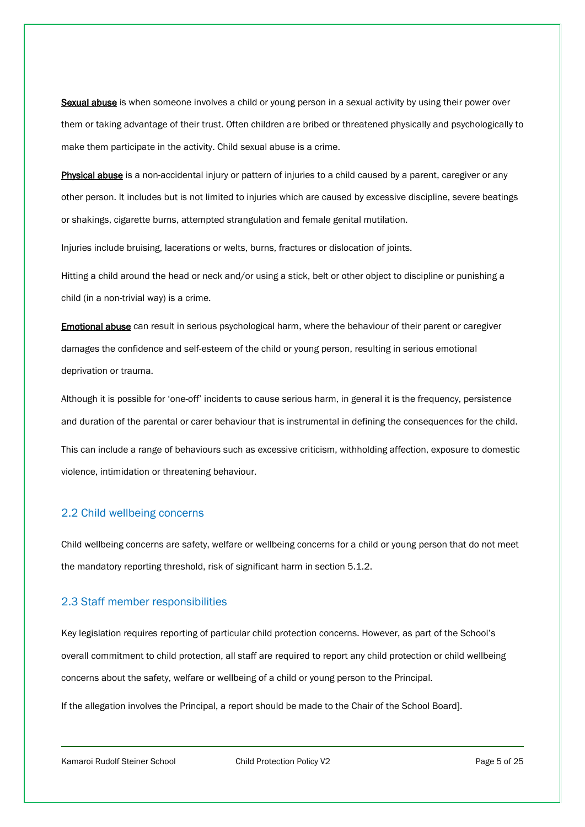Sexual abuse is when someone involves a child or young person in a sexual activity by using their power over them or taking advantage of their trust. Often children are bribed or threatened physically and psychologically to make them participate in the activity. Child sexual abuse is a crime.

Physical abuse is a non-accidental injury or pattern of injuries to a child caused by a parent, caregiver or any other person. It includes but is not limited to injuries which are caused by excessive discipline, severe beatings or shakings, cigarette burns, attempted strangulation and female genital mutilation.

Injuries include bruising, lacerations or welts, burns, fractures or dislocation of joints.

Hitting a child around the head or neck and/or using a stick, belt or other object to discipline or punishing a child (in a non-trivial way) is a crime.

Emotional abuse can result in serious psychological harm, where the behaviour of their parent or caregiver damages the confidence and self-esteem of the child or young person, resulting in serious emotional deprivation or trauma.

Although it is possible for 'one-off' incidents to cause serious harm, in general it is the frequency, persistence and duration of the parental or carer behaviour that is instrumental in defining the consequences for the child.

This can include a range of behaviours such as excessive criticism, withholding affection, exposure to domestic violence, intimidation or threatening behaviour.

# 2.2 Child wellbeing concerns

Child wellbeing concerns are safety, welfare or wellbeing concerns for a child or young person that do not meet the mandatory reporting threshold, risk of significant harm in section 5.1.2.

#### 2.3 Staff member responsibilities

Key legislation requires reporting of particular child protection concerns. However, as part of the School's overall commitment to child protection, all staff are required to report any child protection or child wellbeing concerns about the safety, welfare or wellbeing of a child or young person to the Principal.

If the allegation involves the Principal, a report should be made to the Chair of the School Board].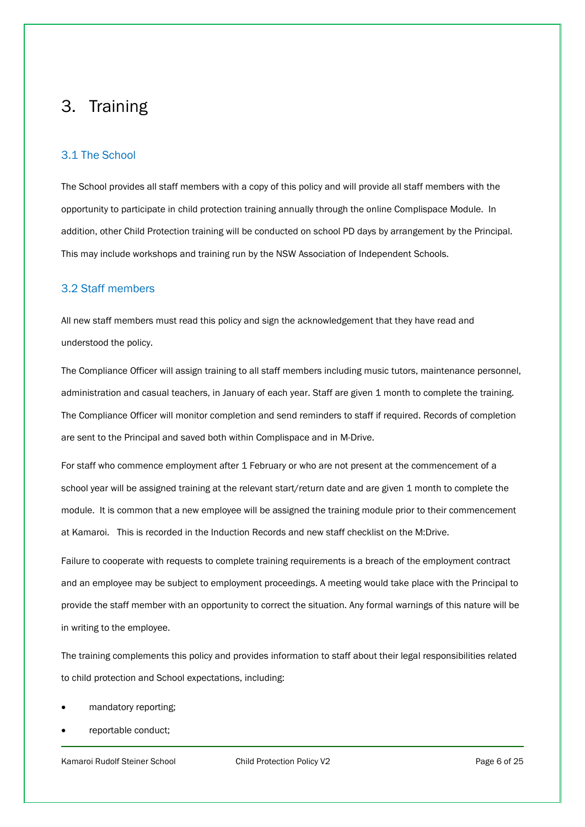# <span id="page-5-0"></span>3. Training

### 3.1 The School

The School provides all staff members with a copy of this policy and will provide all staff members with the opportunity to participate in child protection training annually through the online Complispace Module. In addition, other Child Protection training will be conducted on school PD days by arrangement by the Principal. This may include workshops and training run by the NSW Association of Independent Schools.

#### 3.2 Staff members

All new staff members must read this policy and sign the acknowledgement that they have read and understood the policy.

The Compliance Officer will assign training to all staff members including music tutors, maintenance personnel, administration and casual teachers, in January of each year. Staff are given 1 month to complete the training. The Compliance Officer will monitor completion and send reminders to staff if required. Records of completion are sent to the Principal and saved both within Complispace and in M-Drive.

For staff who commence employment after 1 February or who are not present at the commencement of a school year will be assigned training at the relevant start/return date and are given 1 month to complete the module. It is common that a new employee will be assigned the training module prior to their commencement at Kamaroi. This is recorded in the Induction Records and new staff checklist on the M:Drive.

Failure to cooperate with requests to complete training requirements is a breach of the employment contract and an employee may be subject to employment proceedings. A meeting would take place with the Principal to provide the staff member with an opportunity to correct the situation. Any formal warnings of this nature will be in writing to the employee.

The training complements this policy and provides information to staff about their legal responsibilities related to child protection and School expectations, including:

- mandatory reporting;
- reportable conduct;

Kamaroi Rudolf Steiner School **Child Protection Policy V2** Page 6 of 25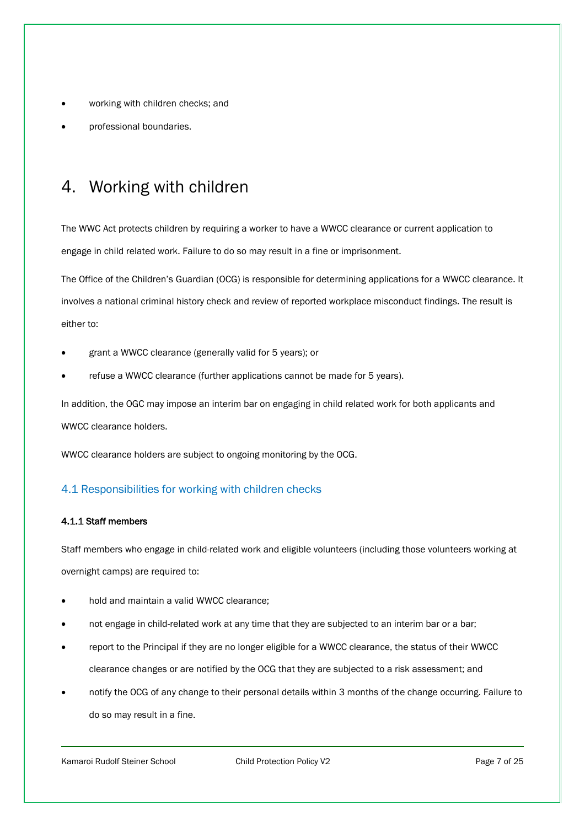- working with children checks; and
- professional boundaries.

# <span id="page-6-0"></span>4. Working with children

The WWC Act protects children by requiring a worker to have a WWCC clearance or current application to engage in child related work. Failure to do so may result in a fine or imprisonment.

The Office of the Children's Guardian (OCG) is responsible for determining applications for a WWCC clearance. It involves a national criminal history check and review of reported workplace misconduct findings. The result is either to:

- grant a WWCC clearance (generally valid for 5 years); or
- refuse a WWCC clearance (further applications cannot be made for 5 years).

In addition, the OGC may impose an interim bar on engaging in child related work for both applicants and WWCC clearance holders.

WWCC clearance holders are subject to ongoing monitoring by the OCG.

# 4.1 Responsibilities for working with children checks

#### 4.1.1 Staff members

Staff members who engage in child-related work and eligible volunteers (including those volunteers working at overnight camps) are required to:

- hold and maintain a valid WWCC clearance;
- not engage in child-related work at any time that they are subjected to an interim bar or a bar;
- report to the Principal if they are no longer eligible for a WWCC clearance, the status of their WWCC clearance changes or are notified by the OCG that they are subjected to a risk assessment; and
- notify the OCG of any change to their personal details within 3 months of the change occurring. Failure to do so may result in a fine.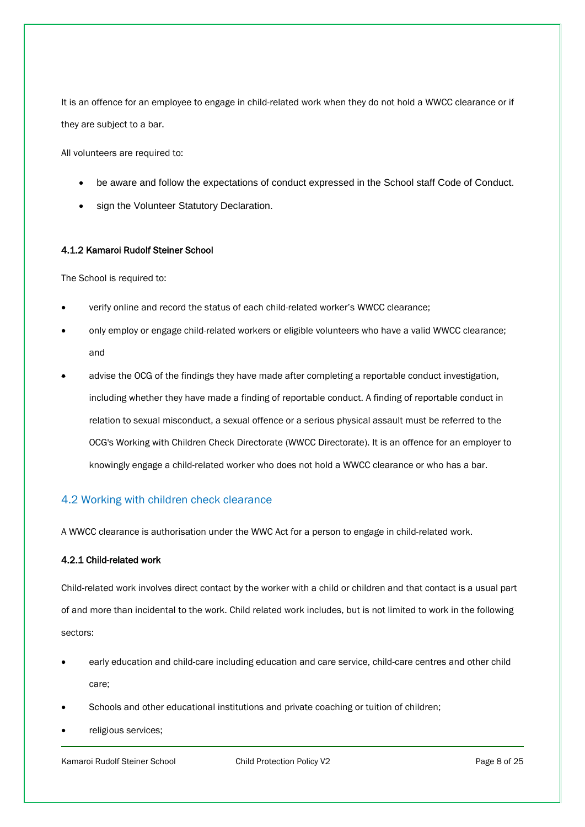It is an offence for an employee to engage in child-related work when they do not hold a WWCC clearance or if they are subject to a bar.

All volunteers are required to:

- be aware and follow the expectations of conduct expressed in the School staff Code of Conduct.
- sign the Volunteer Statutory Declaration.

#### 4.1.2 Kamaroi Rudolf Steiner School

The School is required to:

- verify online and record the status of each child-related worker's WWCC clearance;
- only employ or engage child-related workers or eligible volunteers who have a valid WWCC clearance; and
- advise the OCG of the findings they have made after completing a reportable conduct investigation, including whether they have made a finding of reportable conduct. A finding of reportable conduct in relation to sexual misconduct, a sexual offence or a serious physical assault must be referred to the OCG's Working with Children Check Directorate (WWCC Directorate). It is an offence for an employer to knowingly engage a child-related worker who does not hold a WWCC clearance or who has a bar.

# 4.2 Working with children check clearance

A WWCC clearance is authorisation under the WWC Act for a person to engage in child-related work.

#### 4.2.1 Child-related work

Child-related work involves direct contact by the worker with a child or children and that contact is a usual part of and more than incidental to the work. Child related work includes, but is not limited to work in the following sectors:

- early education and child-care including education and care service, child-care centres and other child care;
- Schools and other educational institutions and private coaching or tuition of children;
- religious services;

Kamaroi Rudolf Steiner School **Child Protection Policy V2** Page 8 of 25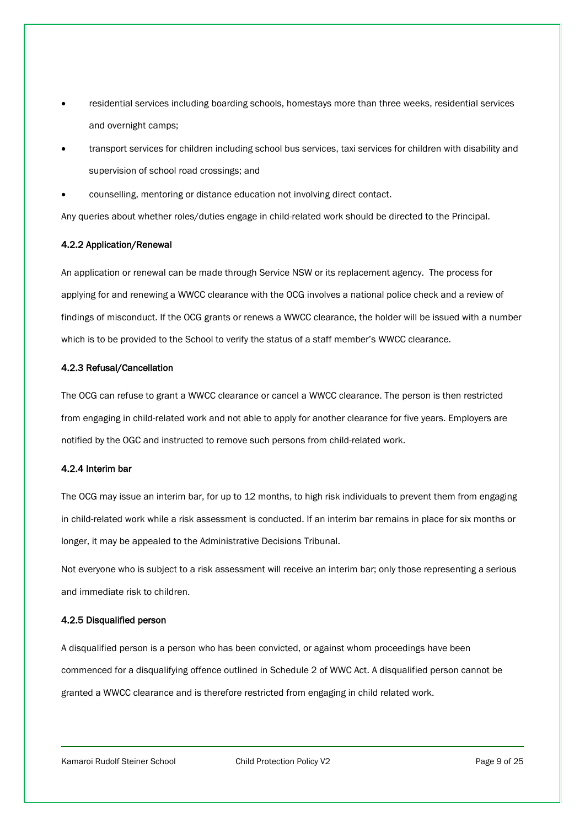- residential services including boarding schools, homestays more than three weeks, residential services and overnight camps;
- transport services for children including school bus services, taxi services for children with disability and supervision of school road crossings; and
- counselling, mentoring or distance education not involving direct contact.

Any queries about whether roles/duties engage in child-related work should be directed to the Principal.

#### 4.2.2 Application/Renewal

An application or renewal can be made through Service NSW or its replacement agency. The process for applying for and renewing a WWCC clearance with the OCG involves a national police check and a review of findings of misconduct. If the OCG grants or renews a WWCC clearance, the holder will be issued with a number which is to be provided to the School to verify the status of a staff member's WWCC clearance.

#### 4.2.3 Refusal/Cancellation

The OCG can refuse to grant a WWCC clearance or cancel a WWCC clearance. The person is then restricted from engaging in child-related work and not able to apply for another clearance for five years. Employers are notified by the OGC and instructed to remove such persons from child-related work.

#### 4.2.4 Interim bar

The OCG may issue an interim bar, for up to 12 months, to high risk individuals to prevent them from engaging in child-related work while a risk assessment is conducted. If an interim bar remains in place for six months or longer, it may be appealed to the Administrative Decisions Tribunal.

Not everyone who is subject to a risk assessment will receive an interim bar; only those representing a serious and immediate risk to children.

#### 4.2.5 Disqualified person

A disqualified person is a person who has been convicted, or against whom proceedings have been commenced for a disqualifying offence outlined in Schedule 2 of WWC Act. A disqualified person cannot be granted a WWCC clearance and is therefore restricted from engaging in child related work.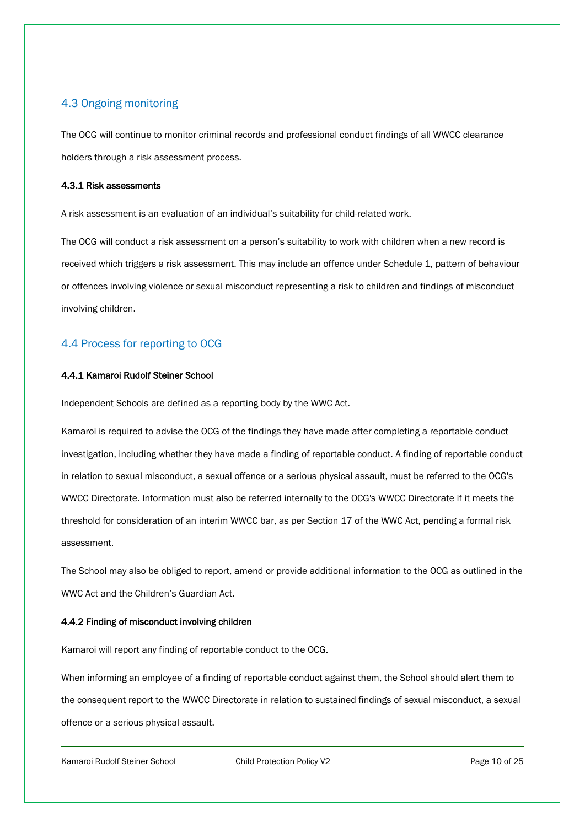# 4.3 Ongoing monitoring

The OCG will continue to monitor criminal records and professional conduct findings of all WWCC clearance holders through a risk assessment process.

#### 4.3.1 Risk assessments

A risk assessment is an evaluation of an individual's suitability for child-related work.

The OCG will conduct a risk assessment on a person's suitability to work with children when a new record is received which triggers a risk assessment. This may include an offence under Schedule 1, pattern of behaviour or offences involving violence or sexual misconduct representing a risk to children and findings of misconduct involving children.

# 4.4 Process for reporting to OCG

#### 4.4.1 Kamaroi Rudolf Steiner School

Independent Schools are defined as a reporting body by the WWC Act.

Kamaroi is required to advise the OCG of the findings they have made after completing a reportable conduct investigation, including whether they have made a finding of reportable conduct. A finding of reportable conduct in relation to sexual misconduct, a sexual offence or a serious physical assault, must be referred to the OCG's WWCC Directorate. Information must also be referred internally to the OCG's WWCC Directorate if it meets the threshold for consideration of an interim WWCC bar, as per Section 17 of the WWC Act, pending a formal risk assessment.

The School may also be obliged to report, amend or provide additional information to the OCG as outlined in the WWC Act and the Children's Guardian Act.

#### 4.4.2 Finding of misconduct involving children

Kamaroi will report any finding of reportable conduct to the OCG.

When informing an employee of a finding of reportable conduct against them, the School should alert them to the consequent report to the WWCC Directorate in relation to sustained findings of sexual misconduct, a sexual offence or a serious physical assault.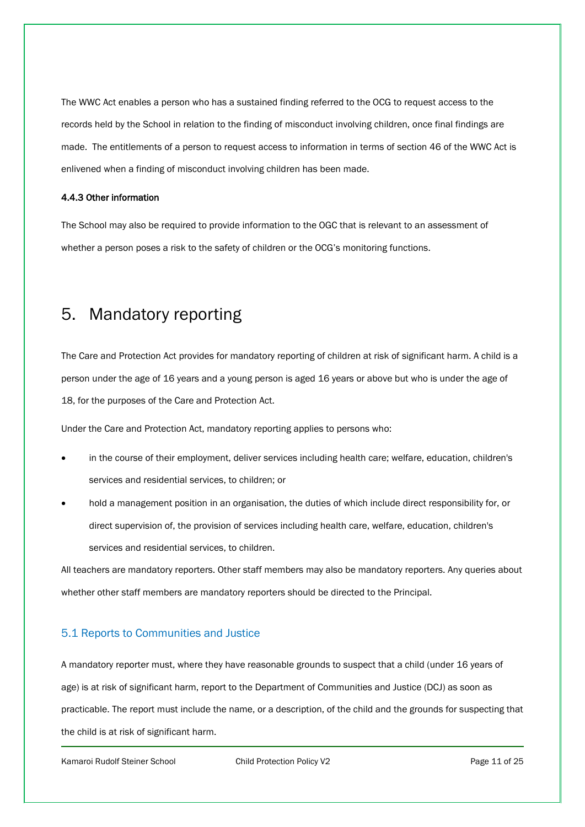The WWC Act enables a person who has a sustained finding referred to the OCG to request access to the records held by the School in relation to the finding of misconduct involving children, once final findings are made. The entitlements of a person to request access to information in terms of section 46 of the WWC Act is enlivened when a finding of misconduct involving children has been made.

#### 4.4.3 Other information

The School may also be required to provide information to the OGC that is relevant to an assessment of whether a person poses a risk to the safety of children or the OCG's monitoring functions.

# <span id="page-10-0"></span>5. Mandatory reporting

The Care and Protection Act provides for mandatory reporting of children at risk of significant harm. A child is a person under the age of 16 years and a young person is aged 16 years or above but who is under the age of 18, for the purposes of the Care and Protection Act.

Under the Care and Protection Act, mandatory reporting applies to persons who:

- in the course of their employment, deliver services including health care; welfare, education, children's services and residential services, to children; or
- hold a management position in an organisation, the duties of which include direct responsibility for, or direct supervision of, the provision of services including health care, welfare, education, children's services and residential services, to children.

All teachers are mandatory reporters. Other staff members may also be mandatory reporters. Any queries about whether other staff members are mandatory reporters should be directed to the Principal.

# 5.1 Reports to Communities and Justice

A mandatory reporter must, where they have reasonable grounds to suspect that a child (under 16 years of age) is at risk of significant harm, report to the Department of Communities and Justice (DCJ) as soon as practicable. The report must include the name, or a description, of the child and the grounds for suspecting that the child is at risk of significant harm.

Kamaroi Rudolf Steiner School **Child Protection Policy V2** Page 11 of 25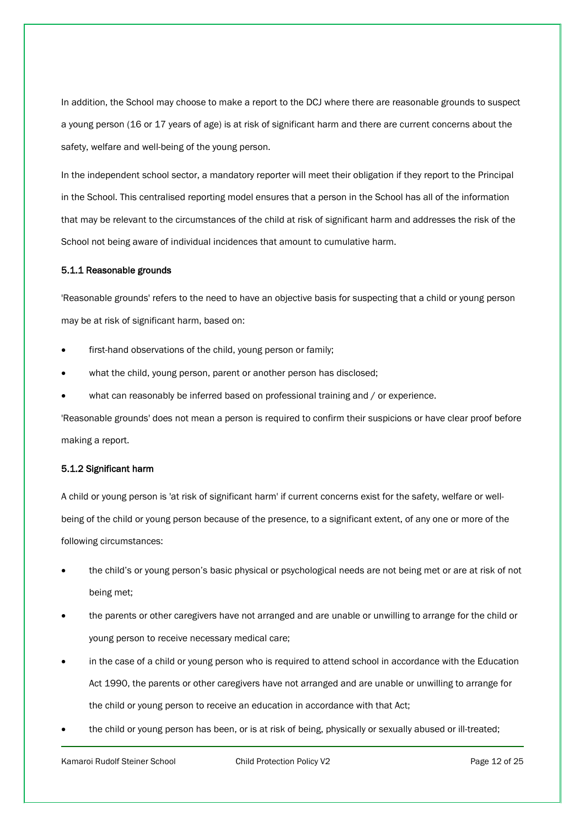In addition, the School may choose to make a report to the DCJ where there are reasonable grounds to suspect a young person (16 or 17 years of age) is at risk of significant harm and there are current concerns about the safety, welfare and well-being of the young person.

In the independent school sector, a mandatory reporter will meet their obligation if they report to the Principal in the School. This centralised reporting model ensures that a person in the School has all of the information that may be relevant to the circumstances of the child at risk of significant harm and addresses the risk of the School not being aware of individual incidences that amount to cumulative harm.

#### 5.1.1 Reasonable grounds

'Reasonable grounds' refers to the need to have an objective basis for suspecting that a child or young person may be at risk of significant harm, based on:

- first-hand observations of the child, young person or family;
- what the child, young person, parent or another person has disclosed;
- what can reasonably be inferred based on professional training and / or experience.

'Reasonable grounds' does not mean a person is required to confirm their suspicions or have clear proof before making a report.

#### 5.1.2 Significant harm

A child or young person is 'at risk of significant harm' if current concerns exist for the safety, welfare or wellbeing of the child or young person because of the presence, to a significant extent, of any one or more of the following circumstances:

- the child's or young person's basic physical or psychological needs are not being met or are at risk of not being met;
- the parents or other caregivers have not arranged and are unable or unwilling to arrange for the child or young person to receive necessary medical care;
- in the case of a child or young person who is required to attend school in accordance with the Education Act 1990, the parents or other caregivers have not arranged and are unable or unwilling to arrange for the child or young person to receive an education in accordance with that Act;
- the child or young person has been, or is at risk of being, physically or sexually abused or ill-treated;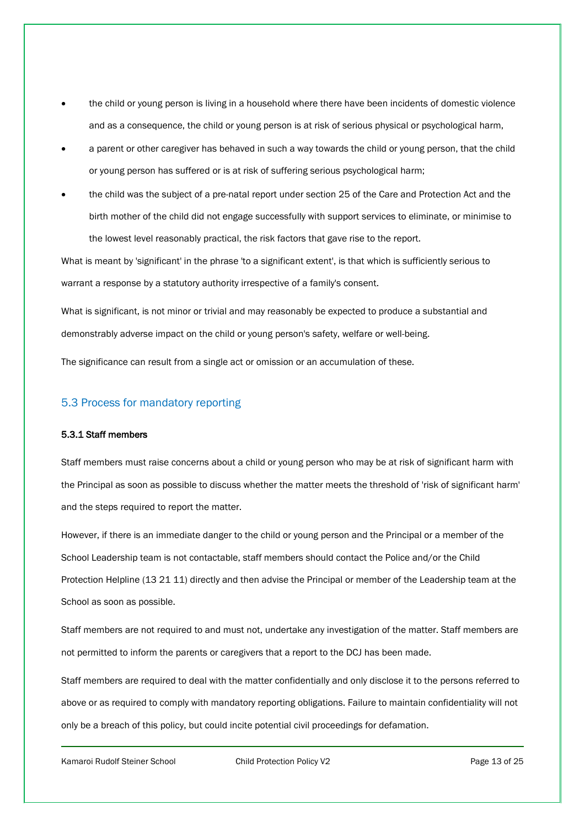- the child or young person is living in a household where there have been incidents of domestic violence and as a consequence, the child or young person is at risk of serious physical or psychological harm,
- a parent or other caregiver has behaved in such a way towards the child or young person, that the child or young person has suffered or is at risk of suffering serious psychological harm;
- the child was the subject of a pre-natal report under section 25 of the Care and Protection Act and the birth mother of the child did not engage successfully with support services to eliminate, or minimise to the lowest level reasonably practical, the risk factors that gave rise to the report.

What is meant by 'significant' in the phrase 'to a significant extent', is that which is sufficiently serious to warrant a response by a statutory authority irrespective of a family's consent.

What is significant, is not minor or trivial and may reasonably be expected to produce a substantial and demonstrably adverse impact on the child or young person's safety, welfare or well-being.

The significance can result from a single act or omission or an accumulation of these.

#### 5.3 Process for mandatory reporting

#### 5.3.1 Staff members

Staff members must raise concerns about a child or young person who may be at risk of significant harm with the Principal as soon as possible to discuss whether the matter meets the threshold of 'risk of significant harm' and the steps required to report the matter.

However, if there is an immediate danger to the child or young person and the Principal or a member of the School Leadership team is not contactable, staff members should contact the Police and/or the Child Protection Helpline (13 21 11) directly and then advise the Principal or member of the Leadership team at the School as soon as possible.

Staff members are not required to and must not, undertake any investigation of the matter. Staff members are not permitted to inform the parents or caregivers that a report to the DCJ has been made.

Staff members are required to deal with the matter confidentially and only disclose it to the persons referred to above or as required to comply with mandatory reporting obligations. Failure to maintain confidentiality will not only be a breach of this policy, but could incite potential civil proceedings for defamation.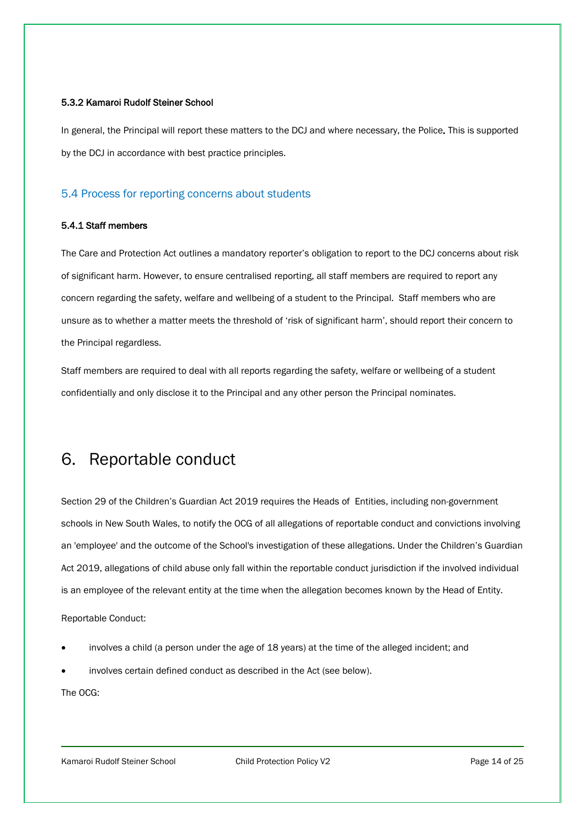#### 5.3.2 Kamaroi Rudolf Steiner School

In general, the Principal will report these matters to the DCJ and where necessary, the Police. This is supported by the DCJ in accordance with best practice principles.

#### 5.4 Process for reporting concerns about students

#### 5.4.1 Staff members

The Care and Protection Act outlines a mandatory reporter's obligation to report to the DCJ concerns about risk of significant harm. However, to ensure centralised reporting, all staff members are required to report any concern regarding the safety, welfare and wellbeing of a student to the Principal. Staff members who are unsure as to whether a matter meets the threshold of 'risk of significant harm', should report their concern to the Principal regardless.

Staff members are required to deal with all reports regarding the safety, welfare or wellbeing of a student confidentially and only disclose it to the Principal and any other person the Principal nominates.

# <span id="page-13-0"></span>6. Reportable conduct

Section 29 of the Children's Guardian Act 2019 requires the Heads of Entities, including non-government schools in New South Wales, to notify the OCG of all allegations of reportable conduct and convictions involving an 'employee' and the outcome of the School's investigation of these allegations. Under the Children's Guardian Act 2019, allegations of child abuse only fall within the reportable conduct jurisdiction if the involved individual is an employee of the relevant entity at the time when the allegation becomes known by the Head of Entity.

Reportable Conduct:

- involves a child (a person under the age of 18 years) at the time of the alleged incident; and
- involves certain defined conduct as described in the Act (see below).

The OCG:

Kamaroi Rudolf Steiner School Child Protection Policy V2 Child Protection Policy V2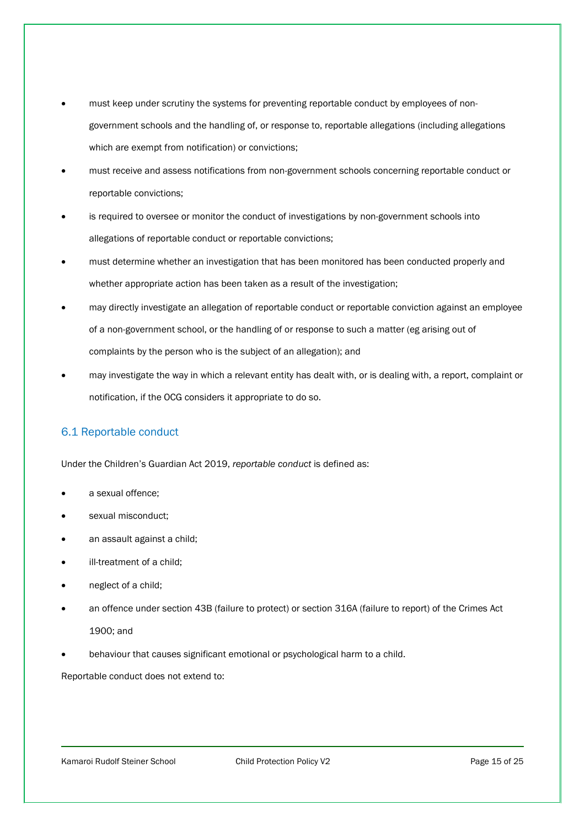- must keep under scrutiny the systems for preventing reportable conduct by employees of nongovernment schools and the handling of, or response to, reportable allegations (including allegations which are exempt from notification) or convictions;
- must receive and assess notifications from non-government schools concerning reportable conduct or reportable convictions;
- is required to oversee or monitor the conduct of investigations by non-government schools into allegations of reportable conduct or reportable convictions;
- must determine whether an investigation that has been monitored has been conducted properly and whether appropriate action has been taken as a result of the investigation;
- may directly investigate an allegation of reportable conduct or reportable conviction against an employee of a non-government school, or the handling of or response to such a matter (eg arising out of complaints by the person who is the subject of an allegation); and
- may investigate the way in which a relevant entity has dealt with, or is dealing with, a report, complaint or notification, if the OCG considers it appropriate to do so.

# 6.1 Reportable conduct

Under the Children's Guardian Act 2019, *reportable conduct* is defined as:

- a sexual offence;
- sexual misconduct;
- an assault against a child;
- ill-treatment of a child;
- neglect of a child;
- an offence under section 43B (failure to protect) or section 316A (failure to report) of the Crimes Act 1900; and
- behaviour that causes significant emotional or psychological harm to a child.

Reportable conduct does not extend to:

Kamaroi Rudolf Steiner School **Child Protection Policy V2** Page 15 of 25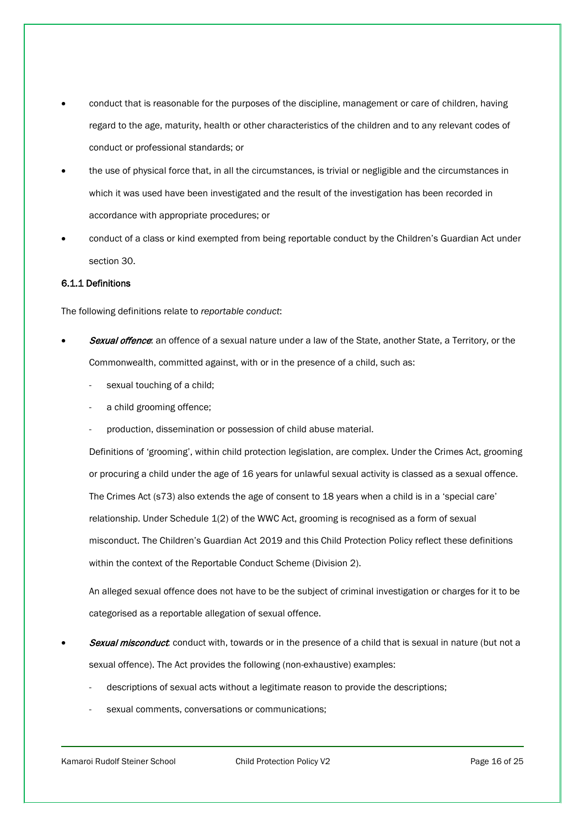- conduct that is reasonable for the purposes of the discipline, management or care of children, having regard to the age, maturity, health or other characteristics of the children and to any relevant codes of conduct or professional standards; or
- the use of physical force that, in all the circumstances, is trivial or negligible and the circumstances in which it was used have been investigated and the result of the investigation has been recorded in accordance with appropriate procedures; or
- conduct of a class or kind exempted from being reportable conduct by the Children's Guardian Act under section 30.

#### 6.1.1 Definitions

The following definitions relate to *reportable conduct*:

- Sexual offence: an offence of a sexual nature under a law of the State, another State, a Territory, or the Commonwealth, committed against, with or in the presence of a child, such as:
	- sexual touching of a child;
	- a child grooming offence;
	- production, dissemination or possession of child abuse material.

Definitions of 'grooming', within child protection legislation, are complex. Under the Crimes Act, grooming or procuring a child under the age of 16 years for unlawful sexual activity is classed as a sexual offence. The Crimes Act (s73) also extends the age of consent to 18 years when a child is in a 'special care' relationship. Under Schedule 1(2) of the WWC Act, grooming is recognised as a form of sexual misconduct. The Children's Guardian Act 2019 and this Child Protection Policy reflect these definitions within the context of the Reportable Conduct Scheme (Division 2).

An alleged sexual offence does not have to be the subject of criminal investigation or charges for it to be categorised as a reportable allegation of sexual offence.

- **Sexual misconduct:** conduct with, towards or in the presence of a child that is sexual in nature (but not a sexual offence). The Act provides the following (non-exhaustive) examples:
	- descriptions of sexual acts without a legitimate reason to provide the descriptions;
	- sexual comments, conversations or communications;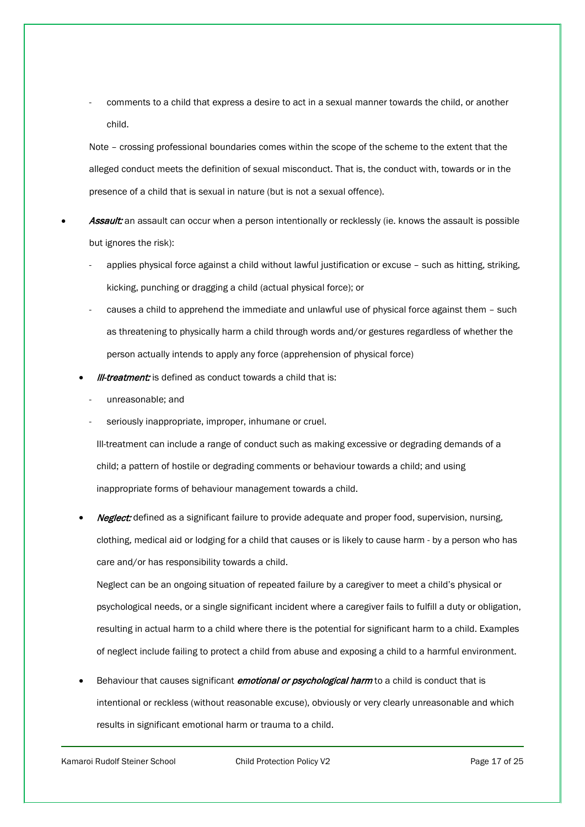comments to a child that express a desire to act in a sexual manner towards the child, or another child.

Note – crossing professional boundaries comes within the scope of the scheme to the extent that the alleged conduct meets the definition of sexual misconduct. That is, the conduct with, towards or in the presence of a child that is sexual in nature (but is not a sexual offence).

- Assault: an assault can occur when a person intentionally or recklessly (ie. knows the assault is possible but ignores the risk):
	- applies physical force against a child without lawful justification or excuse such as hitting, striking, kicking, punching or dragging a child (actual physical force); or
	- causes a child to apprehend the immediate and unlawful use of physical force against them such as threatening to physically harm a child through words and/or gestures regardless of whether the person actually intends to apply any force (apprehension of physical force)
	- **III-treatment:** is defined as conduct towards a child that is:
		- unreasonable; and
		- seriously inappropriate, improper, inhumane or cruel.

Ill-treatment can include a range of conduct such as making excessive or degrading demands of a child; a pattern of hostile or degrading comments or behaviour towards a child; and using inappropriate forms of behaviour management towards a child.

Neglect: defined as a significant failure to provide adequate and proper food, supervision, nursing, clothing, medical aid or lodging for a child that causes or is likely to cause harm - by a person who has care and/or has responsibility towards a child.

Neglect can be an ongoing situation of repeated failure by a caregiver to meet a child's physical or psychological needs, or a single significant incident where a caregiver fails to fulfill a duty or obligation, resulting in actual harm to a child where there is the potential for significant harm to a child. Examples of neglect include failing to protect a child from abuse and exposing a child to a harmful environment.

Behaviour that causes significant *emotional or psychological harm* to a child is conduct that is intentional or reckless (without reasonable excuse), obviously or very clearly unreasonable and which results in significant emotional harm or trauma to a child.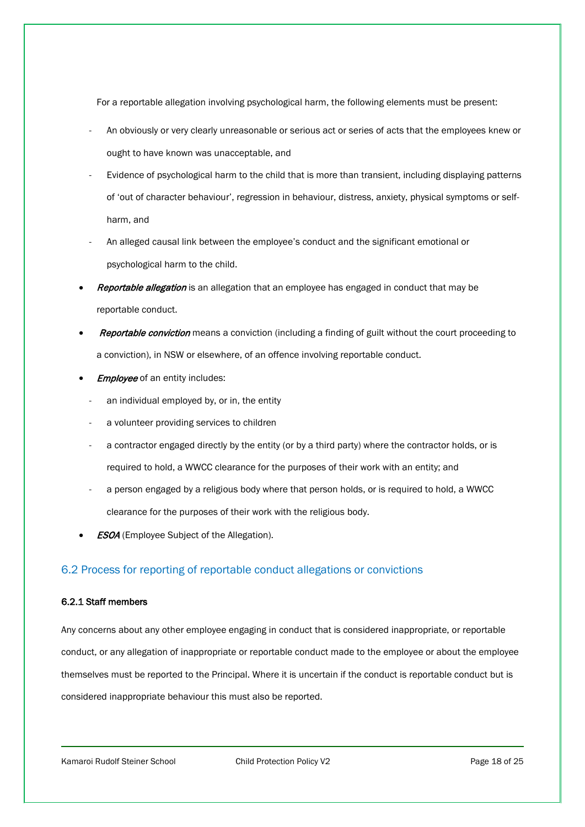For a reportable allegation involving psychological harm, the following elements must be present:

- An obviously or very clearly unreasonable or serious act or series of acts that the employees knew or ought to have known was unacceptable, and
- Evidence of psychological harm to the child that is more than transient, including displaying patterns of 'out of character behaviour', regression in behaviour, distress, anxiety, physical symptoms or selfharm, and
- An alleged causal link between the employee's conduct and the significant emotional or psychological harm to the child.
- **Reportable allegation** is an allegation that an employee has engaged in conduct that may be reportable conduct.
- **Reportable conviction** means a conviction (including a finding of guilt without the court proceeding to a conviction), in NSW or elsewhere, of an offence involving reportable conduct.
- **Employee** of an entity includes:
	- an individual employed by, or in, the entity
	- a volunteer providing services to children
	- a contractor engaged directly by the entity (or by a third party) where the contractor holds, or is required to hold, a WWCC clearance for the purposes of their work with an entity; and
	- a person engaged by a religious body where that person holds, or is required to hold, a WWCC clearance for the purposes of their work with the religious body.
- **ESOA** (Employee Subject of the Allegation).

# 6.2 Process for reporting of reportable conduct allegations or convictions

#### 6.2.1 Staff members

Any concerns about any other employee engaging in conduct that is considered inappropriate, or reportable conduct, or any allegation of inappropriate or reportable conduct made to the employee or about the employee themselves must be reported to the Principal. Where it is uncertain if the conduct is reportable conduct but is considered inappropriate behaviour this must also be reported.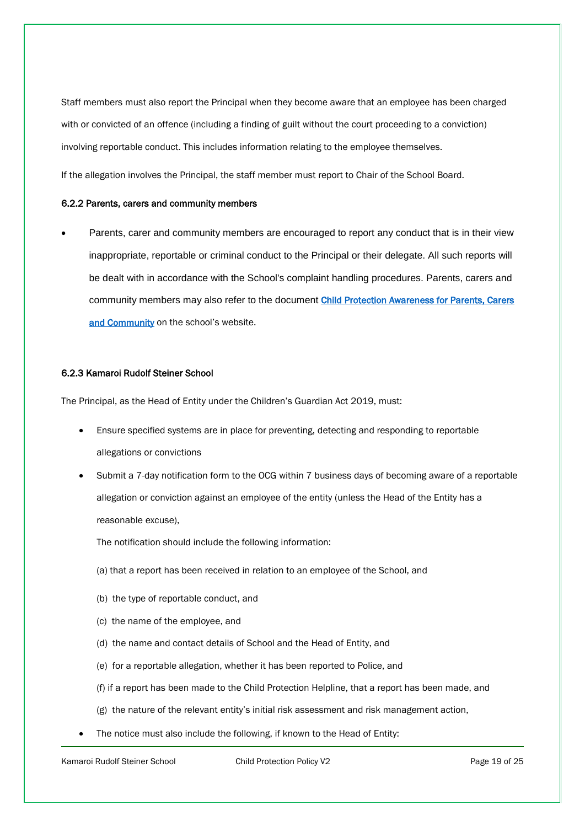Staff members must also report the Principal when they become aware that an employee has been charged with or convicted of an offence (including a finding of guilt without the court proceeding to a conviction) involving reportable conduct. This includes information relating to the employee themselves.

If the allegation involves the Principal, the staff member must report to Chair of the School Board.

#### 6.2.2 Parents, carers and community members

• Parents, carer and community members are encouraged to report any conduct that is in their view inappropriate, reportable or criminal conduct to the Principal or their delegate. All such reports will be dealt with in accordance with the School's complaint handling procedures. Parents, carers and community members may also refer to the document [Child Protection Awareness for Parents, Carers](https://www.kamaroi.nsw.edu.au/documents/52/Child_Protection_Awareness_for_Parents_Carers_and_Community.pdf)  [and Community](https://www.kamaroi.nsw.edu.au/documents/52/Child_Protection_Awareness_for_Parents_Carers_and_Community.pdf) on the school's website.

#### 6.2.3 Kamaroi Rudolf Steiner School

The Principal, as the Head of Entity under the Children's Guardian Act 2019, must:

- Ensure specified systems are in place for preventing, detecting and responding to reportable allegations or convictions
- Submit a 7-day notification form to the OCG within 7 business days of becoming aware of a reportable allegation or conviction against an employee of the entity (unless the Head of the Entity has a reasonable excuse),

The notification should include the following information:

- (a) that a report has been received in relation to an employee of the School, and
- (b) the type of reportable conduct, and
- (c) the name of the employee, and
- (d) the name and contact details of School and the Head of Entity, and
- (e) for a reportable allegation, whether it has been reported to Police, and
- (f) if a report has been made to the Child Protection Helpline, that a report has been made, and
- (g) the nature of the relevant entity's initial risk assessment and risk management action,
- The notice must also include the following, if known to the Head of Entity: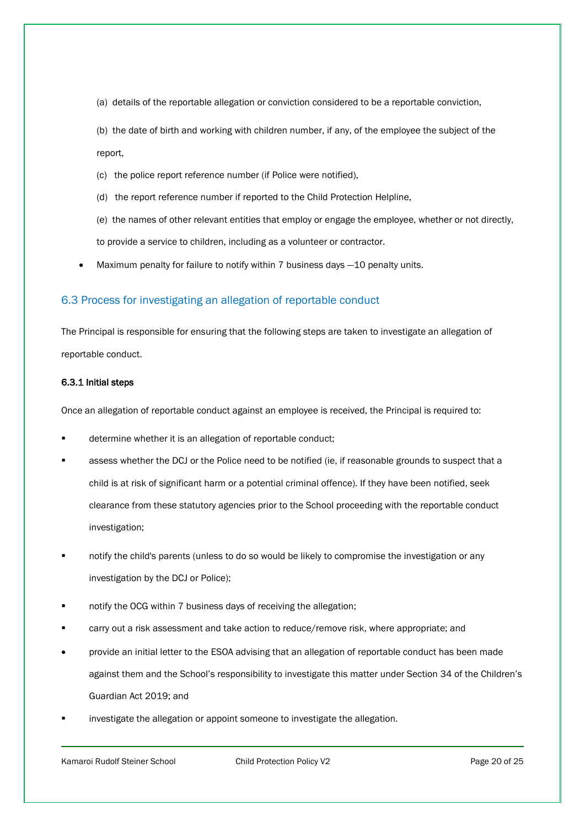(a) details of the reportable allegation or conviction considered to be a reportable conviction,

(b) the date of birth and working with children number, if any, of the employee the subject of the report,

- (c) the police report reference number (if Police were notified),
- (d) the report reference number if reported to the Child Protection Helpline,

(e) the names of other relevant entities that employ or engage the employee, whether or not directly, to provide a service to children, including as a volunteer or contractor.

Maximum penalty for failure to notify within 7 business days -10 penalty units.

# 6.3 Process for investigating an allegation of reportable conduct

The Principal is responsible for ensuring that the following steps are taken to investigate an allegation of reportable conduct.

#### 6.3.1 Initial steps

Once an allegation of reportable conduct against an employee is received, the Principal is required to:

- determine whether it is an allegation of reportable conduct;
- assess whether the DCJ or the Police need to be notified (ie, if reasonable grounds to suspect that a child is at risk of significant harm or a potential criminal offence). If they have been notified, seek clearance from these statutory agencies prior to the School proceeding with the reportable conduct investigation;
- notify the child's parents (unless to do so would be likely to compromise the investigation or any investigation by the DCJ or Police);
- notify the OCG within 7 business days of receiving the allegation;
- carry out a risk assessment and take action to reduce/remove risk, where appropriate; and
- provide an initial letter to the ESOA advising that an allegation of reportable conduct has been made against them and the School's responsibility to investigate this matter under Section 34 of the Children's Guardian Act 2019; and
- investigate the allegation or appoint someone to investigate the allegation.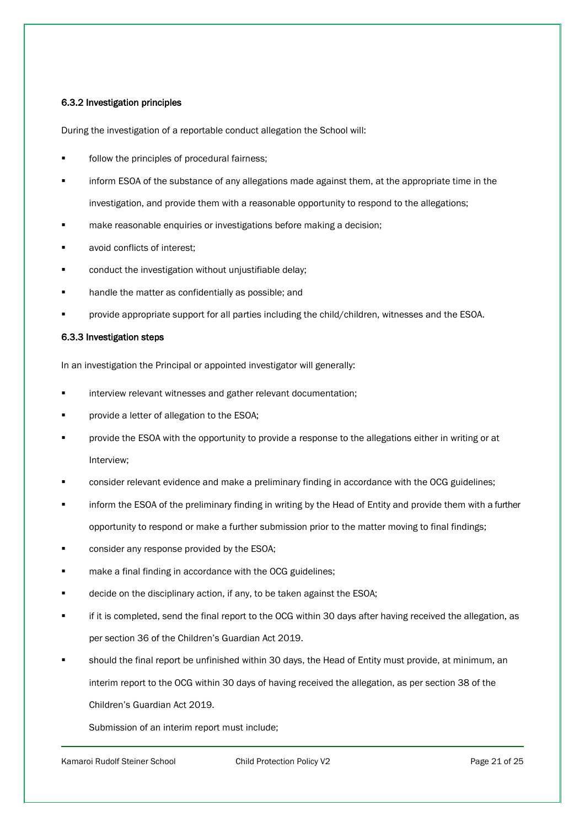#### 6.3.2 Investigation principles

During the investigation of a reportable conduct allegation the School will:

- follow the principles of procedural fairness;
- inform ESOA of the substance of any allegations made against them, at the appropriate time in the investigation, and provide them with a reasonable opportunity to respond to the allegations;
- make reasonable enquiries or investigations before making a decision;
- avoid conflicts of interest;
- conduct the investigation without unjustifiable delay;
- handle the matter as confidentially as possible; and
- provide appropriate support for all parties including the child/children, witnesses and the ESOA.

#### 6.3.3 Investigation steps

In an investigation the Principal or appointed investigator will generally:

- interview relevant witnesses and gather relevant documentation;
- provide a letter of allegation to the ESOA;
- provide the ESOA with the opportunity to provide a response to the allegations either in writing or at Interview;
- consider relevant evidence and make a preliminary finding in accordance with the OCG guidelines;
- inform the ESOA of the preliminary finding in writing by the Head of Entity and provide them with a further opportunity to respond or make a further submission prior to the matter moving to final findings;
- consider any response provided by the ESOA;
- make a final finding in accordance with the OCG guidelines;
- decide on the disciplinary action, if any, to be taken against the ESOA;
- if it is completed, send the final report to the OCG within 30 days after having received the allegation, as per section 36 of the Children's Guardian Act 2019.
- should the final report be unfinished within 30 days, the Head of Entity must provide, at minimum, an interim report to the OCG within 30 days of having received the allegation, as per section 38 of the Children's Guardian Act 2019.

Submission of an interim report must include;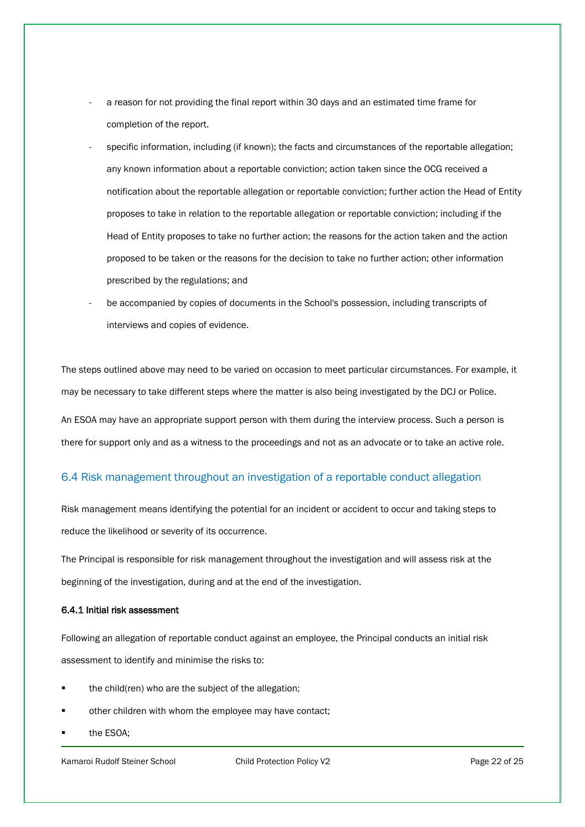- a reason for not providing the final report within 30 days and an estimated time frame for completion of the report.
- specific information, including (if known); the facts and circumstances of the reportable allegation; any known information about a reportable conviction; action taken since the OCG received a notification about the reportable allegation or reportable conviction; further action the Head of Entity proposes to take in relation to the reportable allegation or reportable conviction; including if the Head of Entity proposes to take no further action; the reasons for the action taken and the action proposed to be taken or the reasons for the decision to take no further action; other information prescribed by the regulations; and
- be accompanied by copies of documents in the School's possession, including transcripts of interviews and copies of evidence.

The steps outlined above may need to be varied on occasion to meet particular circumstances. For example, it may be necessary to take different steps where the matter is also being investigated by the DCJ or Police.

An ESOA may have an appropriate support person with them during the interview process. Such a person is there for support only and as a witness to the proceedings and not as an advocate or to take an active role.

# 6.4 Risk management throughout an investigation of a reportable conduct allegation

Risk management means identifying the potential for an incident or accident to occur and taking steps to reduce the likelihood or severity of its occurrence.

The Principal is responsible for risk management throughout the investigation and will assess risk at the beginning of the investigation, during and at the end of the investigation.

# 6.4.1 Initial risk assessment

Following an allegation of reportable conduct against an employee, the Principal conducts an initial risk assessment to identify and minimise the risks to:

- the child(ren) who are the subject of the allegation;
- other children with whom the employee may have contact;
- the ESOA;

Kamaroi Rudolf Steiner School **Child Protection Policy V2** Page 22 of 25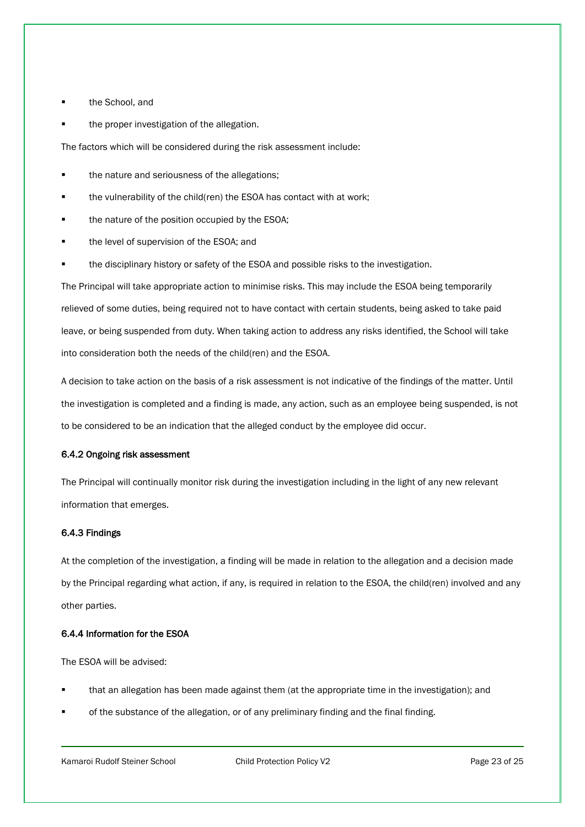- the School, and
- the proper investigation of the allegation.

The factors which will be considered during the risk assessment include:

- the nature and seriousness of the allegations;
- **the vulnerability of the child(ren) the ESOA has contact with at work;**
- **the nature of the position occupied by the ESOA;**
- **the level of supervision of the ESOA; and**
- the disciplinary history or safety of the ESOA and possible risks to the investigation.

The Principal will take appropriate action to minimise risks. This may include the ESOA being temporarily relieved of some duties, being required not to have contact with certain students, being asked to take paid leave, or being suspended from duty. When taking action to address any risks identified, the School will take into consideration both the needs of the child(ren) and the ESOA.

A decision to take action on the basis of a risk assessment is not indicative of the findings of the matter. Until the investigation is completed and a finding is made, any action, such as an employee being suspended, is not to be considered to be an indication that the alleged conduct by the employee did occur.

#### 6.4.2 Ongoing risk assessment

The Principal will continually monitor risk during the investigation including in the light of any new relevant information that emerges.

#### 6.4.3 Findings

At the completion of the investigation, a finding will be made in relation to the allegation and a decision made by the Principal regarding what action, if any, is required in relation to the ESOA, the child(ren) involved and any other parties.

#### 6.4.4 Information for the ESOA

The ESOA will be advised:

- that an allegation has been made against them (at the appropriate time in the investigation); and
- of the substance of the allegation, or of any preliminary finding and the final finding.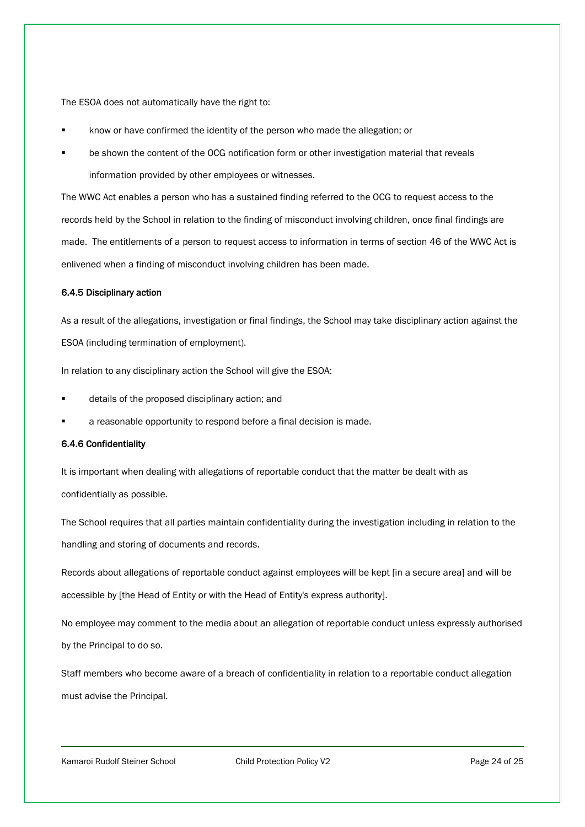The ESOA does not automatically have the right to:

- know or have confirmed the identity of the person who made the allegation; or
- be shown the content of the OCG notification form or other investigation material that reveals information provided by other employees or witnesses.

The WWC Act enables a person who has a sustained finding referred to the OCG to request access to the records held by the School in relation to the finding of misconduct involving children, once final findings are made. The entitlements of a person to request access to information in terms of section 46 of the WWC Act is enlivened when a finding of misconduct involving children has been made.

#### 6.4.5 Disciplinary action

As a result of the allegations, investigation or final findings, the School may take disciplinary action against the ESOA (including termination of employment).

In relation to any disciplinary action the School will give the ESOA:

- details of the proposed disciplinary action; and
- a reasonable opportunity to respond before a final decision is made.

#### 6.4.6 Confidentiality

It is important when dealing with allegations of reportable conduct that the matter be dealt with as confidentially as possible.

The School requires that all parties maintain confidentiality during the investigation including in relation to the handling and storing of documents and records.

Records about allegations of reportable conduct against employees will be kept [in a secure area] and will be accessible by [the Head of Entity or with the Head of Entity's express authority].

No employee may comment to the media about an allegation of reportable conduct unless expressly authorised by the Principal to do so.

Staff members who become aware of a breach of confidentiality in relation to a reportable conduct allegation must advise the Principal.